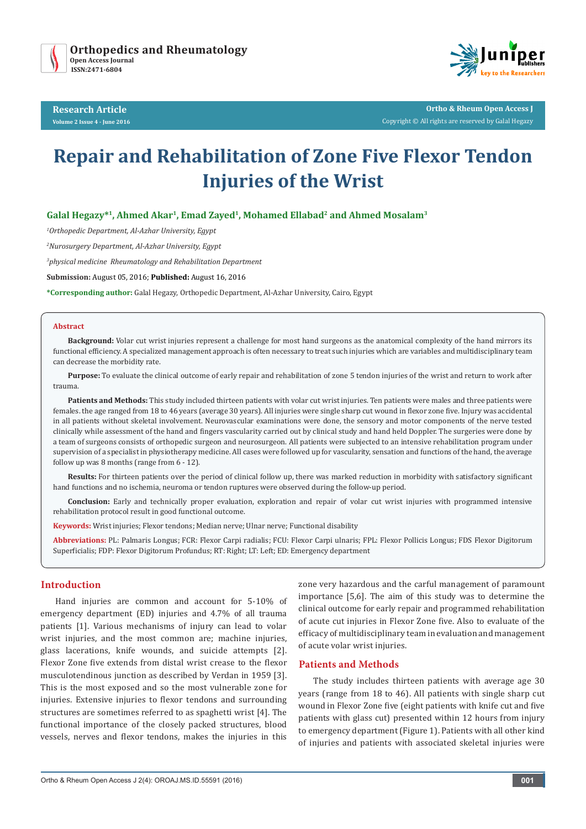

**Research Article Volume 2 Issue 4 - June 2016**



**Ortho & Rheum Open Access J** Copyright © All rights are reserved by Galal Hegazy

# **Repair and Rehabilitation of Zone Five Flexor Tendon Injuries of the Wrist**

# Galal Hegazy<sup>\*1</sup>, Ahmed Akar<sup>1</sup>, Emad Zayed<sup>1</sup>, Mohamed Ellabad<sup>2</sup> and Ahmed Mosalam<sup>3</sup>

*1 Orthopedic Department, Al-Azhar University, Egypt* 

*2 Nurosurgery Department, Al-Azhar University, Egypt* 

*3 physical medicine Rheumatology and Rehabilitation Department*

**Submission:** August 05, 2016; **Published:** August 16, 2016

**\*Corresponding author:** Galal Hegazy, Orthopedic Department, Al-Azhar University, Cairo, Egypt

#### **Abstract**

**Background:** Volar cut wrist injuries represent a challenge for most hand surgeons as the anatomical complexity of the hand mirrors its functional efficiency. A specialized management approach is often necessary to treat such injuries which are variables and multidisciplinary team can decrease the morbidity rate.

**Purpose:** To evaluate the clinical outcome of early repair and rehabilitation of zone 5 tendon injuries of the wrist and return to work after trauma.

**Patients and Methods:** This study included thirteen patients with volar cut wrist injuries. Ten patients were males and three patients were females. the age ranged from 18 to 46 years (average 30 years). All injuries were single sharp cut wound in flexor zone five. Injury was accidental in all patients without skeletal involvement. Neurovascular examinations were done, the sensory and motor components of the nerve tested clinically while assessment of the hand and fingers vascularity carried out by clinical study and hand held Doppler. The surgeries were done by a team of surgeons consists of orthopedic surgeon and neurosurgeon. All patients were subjected to an intensive rehabilitation program under supervision of a specialist in physiotherapy medicine. All cases were followed up for vascularity, sensation and functions of the hand, the average follow up was 8 months (range from 6 - 12).

**Results:** For thirteen patients over the period of clinical follow up, there was marked reduction in morbidity with satisfactory significant hand functions and no ischemia, neuroma or tendon ruptures were observed during the follow-up period.

**Conclusion:** Early and technically proper evaluation, exploration and repair of volar cut wrist injuries with programmed intensive rehabilitation protocol result in good functional outcome.

**Keywords:** Wrist injuries; Flexor tendons; Median nerve; Ulnar nerve; Functional disability

**Abbreviations:** PL: Palmaris Longus; FCR: Flexor Carpi radialis; FCU: Flexor Carpi ulnaris; FPL: Flexor Pollicis Longus; FDS Flexor Digitorum Superficialis; FDP: Flexor Digitorum Profundus; RT: Right; LT: Left; ED: Emergency department

#### **Introduction**

Hand injuries are common and account for 5-10% of emergency department (ED) injuries and 4.7% of all trauma patients [1]. Various mechanisms of injury can lead to volar wrist injuries, and the most common are; machine injuries, glass lacerations, knife wounds, and suicide attempts [2]. Flexor Zone five extends from distal wrist crease to the flexor musculotendinous junction as described by Verdan in 1959 [3]. This is the most exposed and so the most vulnerable zone for injuries. Extensive injuries to flexor tendons and surrounding structures are sometimes referred to as spaghetti wrist [4]. The functional importance of the closely packed structures, blood vessels, nerves and flexor tendons, makes the injuries in this zone very hazardous and the carful management of paramount importance [5,6]. The aim of this study was to determine the clinical outcome for early repair and programmed rehabilitation of acute cut injuries in Flexor Zone five. Also to evaluate of the efficacy of multidisciplinary team in evaluation and management of acute volar wrist injuries.

#### **Patients and Methods**

The study includes thirteen patients with average age 30 years (range from 18 to 46). All patients with single sharp cut wound in Flexor Zone five (eight patients with knife cut and five patients with glass cut) presented within 12 hours from injury to emergency department (Figure 1). Patients with all other kind of injuries and patients with associated skeletal injuries were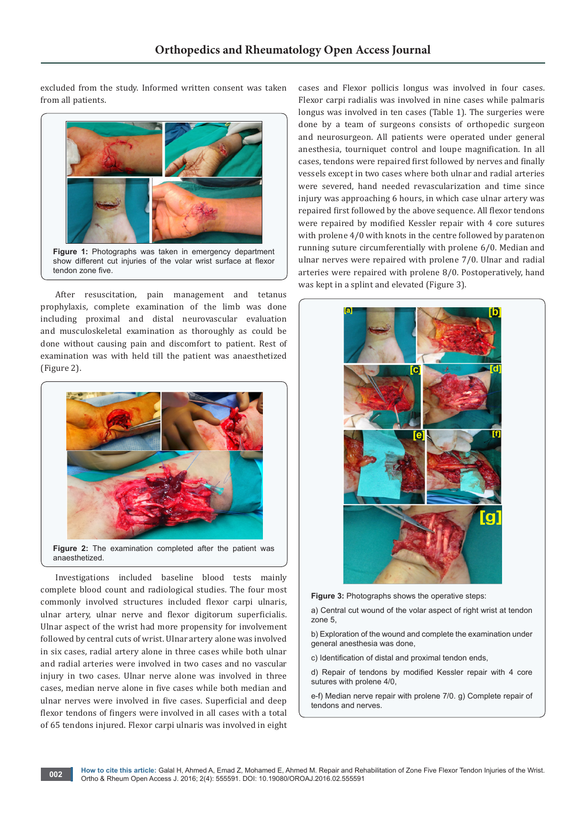excluded from the study. Informed written consent was taken from all patients.



After resuscitation, pain management and tetanus prophylaxis, complete examination of the limb was done including proximal and distal neurovascular evaluation and musculoskeletal examination as thoroughly as could be done without causing pain and discomfort to patient. Rest of examination was with held till the patient was anaesthetized (Figure 2).



Investigations included baseline blood tests mainly complete blood count and radiological studies. The four most commonly involved structures included flexor carpi ulnaris, ulnar artery, ulnar nerve and flexor digitorum superficialis. Ulnar aspect of the wrist had more propensity for involvement followed by central cuts of wrist. Ulnar artery alone was involved in six cases, radial artery alone in three cases while both ulnar and radial arteries were involved in two cases and no vascular injury in two cases. Ulnar nerve alone was involved in three cases, median nerve alone in five cases while both median and ulnar nerves were involved in five cases. Superficial and deep flexor tendons of fingers were involved in all cases with a total of 65 tendons injured. Flexor carpi ulnaris was involved in eight cases and Flexor pollicis longus was involved in four cases. Flexor carpi radialis was involved in nine cases while palmaris longus was involved in ten cases (Table 1). The surgeries were done by a team of surgeons consists of orthopedic surgeon and neurosurgeon. All patients were operated under general anesthesia, tourniquet control and loupe magnification. In all cases, tendons were repaired first followed by nerves and finally vessels except in two cases where both ulnar and radial arteries were severed, hand needed revascularization and time since injury was approaching 6 hours, in which case ulnar artery was repaired first followed by the above sequence. All flexor tendons were repaired by modified Kessler repair with 4 core sutures with prolene 4/0 with knots in the centre followed by paratenon running suture circumferentially with prolene 6/0. Median and ulnar nerves were repaired with prolene 7/0. Ulnar and radial arteries were repaired with prolene 8/0. Postoperatively, hand was kept in a splint and elevated (Figure 3).



**Figure 3:** Photographs shows the operative steps:

a) Central cut wound of the volar aspect of right wrist at tendon zone 5,

b) Exploration of the wound and complete the examination under general anesthesia was done,

c) Identification of distal and proximal tendon ends,

d) Repair of tendons by modified Kessler repair with 4 core sutures with prolene 4/0,

e-f) Median nerve repair with prolene 7/0. g) Complete repair of tendons and nerves.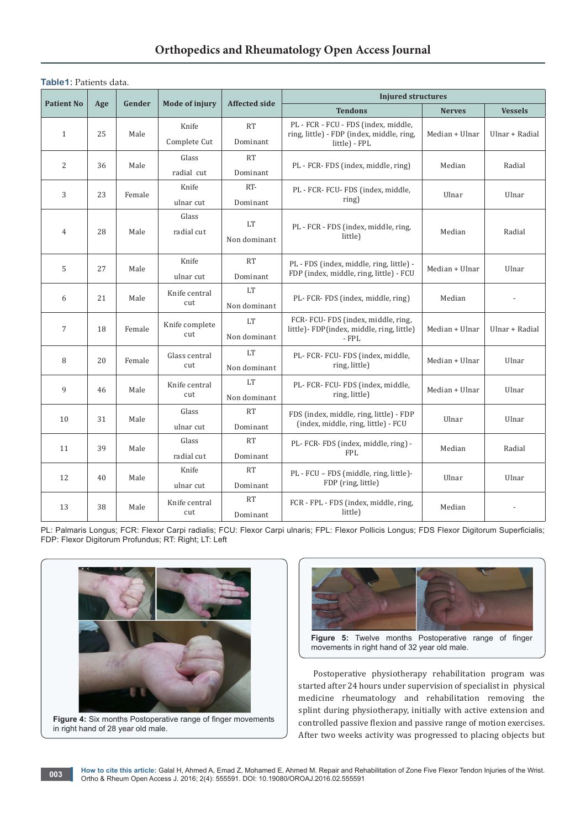# **Orthopedics and Rheumatology Open Access Journal**

| <b>Table1:</b> Patients data. |
|-------------------------------|
|-------------------------------|

|                   | Age | Gender | <b>Mode of injury</b> | <b>Affected side</b>  | <b>Injured structures</b>                                                                          |                |                |  |
|-------------------|-----|--------|-----------------------|-----------------------|----------------------------------------------------------------------------------------------------|----------------|----------------|--|
| <b>Patient No</b> |     |        |                       |                       | <b>Tendons</b>                                                                                     | <b>Nerves</b>  | <b>Vessels</b> |  |
| $\mathbf{1}$      | 25  | Male   | Knife<br>Complete Cut | <b>RT</b><br>Dominant | PL - FCR - FCU - FDS (index, middle,<br>ring, little) - FDP (index, middle, ring,<br>little) - FPL | Median + Ulnar | Ulnar + Radial |  |
| $\overline{2}$    | 36  | Male   | Glass<br>radial cut   | <b>RT</b><br>Dominant | PL - FCR- FDS (index, middle, ring)                                                                | Median         | Radial         |  |
| 3                 | 23  | Female | Knife<br>ulnar cut    | RT-<br>Dominant       | PL - FCR- FCU- FDS (index, middle,<br>ring)                                                        | Ulnar          | Ulnar          |  |
| $\overline{4}$    | 28  | Male   | Glass<br>radial cut   | LT<br>Non dominant    | PL - FCR - FDS (index, middle, ring,<br>little)                                                    | Median         | Radial         |  |
| 5                 | 27  | Male   | Knife<br>ulnar cut    | <b>RT</b><br>Dominant | PL - FDS (index, middle, ring, little) -<br>FDP (index, middle, ring, little) - FCU                | Median + Ulnar | Ulnar          |  |
| 6                 | 21  | Male   | Knife central<br>cut  | LT<br>Non dominant    | PL-FCR-FDS (index, middle, ring)                                                                   | Median         |                |  |
| 7                 | 18  | Female | Knife complete<br>cut | LT<br>Non dominant    | FCR- FCU- FDS (index, middle, ring,<br>little)- FDP(index, middle, ring, little)<br>- FPL          | Median + Ulnar | Ulnar + Radial |  |
| 8                 | 20  | Female | Glass central<br>cut  | LT<br>Non dominant    | PL- FCR- FCU- FDS (index, middle,<br>ring, little)                                                 | Median + Ulnar | Ulnar          |  |
| 9                 | 46  | Male   | Knife central<br>cut  | LT<br>Non dominant    | PL- FCR- FCU- FDS (index, middle,<br>ring, little)                                                 | Median + Ulnar | Ulnar          |  |
| 10                | 31  | Male   | Glass<br>ulnar cut    | <b>RT</b><br>Dominant | FDS (index, middle, ring, little) - FDP<br>(index, middle, ring, little) - FCU                     | Ulnar          | Ulnar          |  |
| 11                | 39  | Male   | Glass<br>radial cut   | <b>RT</b><br>Dominant | PL-FCR-FDS (index, middle, ring) -<br><b>FPL</b>                                                   | Median         | Radial         |  |
| 12                | 40  | Male   | Knife<br>ulnar cut    | RT<br>Dominant        | PL - FCU - FDS (middle, ring, little)-<br>FDP (ring, little)                                       | Ulnar          | Ulnar          |  |
| 13                | 38  | Male   | Knife central<br>cut  | <b>RT</b><br>Dominant | FCR - FPL - FDS (index, middle, ring,<br>little)                                                   | Median         |                |  |

PL: Palmaris Longus; FCR: Flexor Carpi radialis; FCU: Flexor Carpi ulnaris; FPL: Flexor Pollicis Longus; FDS Flexor Digitorum Superficialis; FDP: Flexor Digitorum Profundus; RT: Right; LT: Left



**Figure 4:** Six months Postoperative range of finger movements in right hand of 28 year old male.



**Figure 5:** Twelve months Postoperative range of finger movements in right hand of 32 year old male.

Postoperative physiotherapy rehabilitation program was started after 24 hours under supervision of specialist in physical medicine rheumatology and rehabilitation removing the splint during physiotherapy, initially with active extension and controlled passive flexion and passive range of motion exercises. After two weeks activity was progressed to placing objects but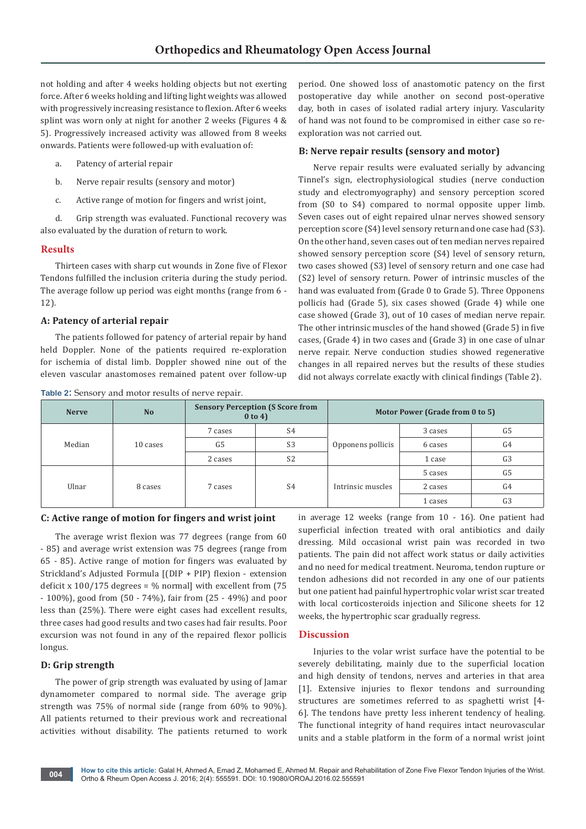not holding and after 4 weeks holding objects but not exerting force. After 6 weeks holding and lifting light weights was allowed with progressively increasing resistance to flexion. After 6 weeks splint was worn only at night for another 2 weeks (Figures 4 & 5). Progressively increased activity was allowed from 8 weeks onwards. Patients were followed-up with evaluation of:

- a. Patency of arterial repair
- b. Nerve repair results (sensory and motor)
- c. Active range of motion for fingers and wrist joint,

d. Grip strength was evaluated. Functional recovery was also evaluated by the duration of return to work.

# **Results**

Thirteen cases with sharp cut wounds in Zone five of Flexor Tendons fulfilled the inclusion criteria during the study period. The average follow up period was eight months (range from 6 - 12).

# **A: Patency of arterial repair**

The patients followed for patency of arterial repair by hand held Doppler. None of the patients required re-exploration for ischemia of distal limb. Doppler showed nine out of the eleven vascular anastomoses remained patent over follow-up

**Table 2:** Sensory and motor results of nerve repair.

period. One showed loss of anastomotic patency on the first postoperative day while another on second post-operative day, both in cases of isolated radial artery injury. Vascularity of hand was not found to be compromised in either case so reexploration was not carried out.

#### **B: Nerve repair results (sensory and motor)**

Nerve repair results were evaluated serially by advancing Tinnel's sign, electrophysiological studies (nerve conduction study and electromyography) and sensory perception scored from (S0 to S4) compared to normal opposite upper limb. Seven cases out of eight repaired ulnar nerves showed sensory perception score (S4) level sensory return and one case had (S3). On the other hand, seven cases out of ten median nerves repaired showed sensory perception score (S4) level of sensory return, two cases showed (S3) level of sensory return and one case had (S2) level of sensory return. Power of intrinsic muscles of the hand was evaluated from (Grade 0 to Grade 5). Three Opponens pollicis had (Grade 5), six cases showed (Grade 4) while one case showed (Grade 3), out of 10 cases of median nerve repair. The other intrinsic muscles of the hand showed (Grade 5) in five cases, (Grade 4) in two cases and (Grade 3) in one case of ulnar nerve repair. Nerve conduction studies showed regenerative changes in all repaired nerves but the results of these studies did not always correlate exactly with clinical findings (Table 2).

| <b>Nerve</b> | N <sub>o</sub> |                | <b>Sensory Perception (S Score from</b><br>$0$ to 4) | Motor Power (Grade from 0 to 5) |         |                |
|--------------|----------------|----------------|------------------------------------------------------|---------------------------------|---------|----------------|
| Median       | 10 cases       | 7 cases        | S4                                                   | Opponens pollicis               | 3 cases | G5             |
|              |                | G <sub>5</sub> | S <sub>3</sub>                                       |                                 | 6 cases | G4             |
|              |                | 2 cases        | S <sub>2</sub>                                       |                                 | 1 case  | G <sub>3</sub> |
| Ulnar        | 8 cases        | 7 cases        | S <sub>4</sub>                                       | Intrinsic muscles               | 5 cases | G5             |
|              |                |                |                                                      |                                 | 2 cases | G4             |
|              |                |                |                                                      |                                 | 1 cases | G <sub>3</sub> |

#### **C: Active range of motion for fingers and wrist joint**

The average wrist flexion was 77 degrees (range from 60 - 85) and average wrist extension was 75 degrees (range from 65 - 85). Active range of motion for fingers was evaluated by Strickland's Adjusted Formula [(DIP + PIP) flexion - extension deficit x  $100/175$  degrees = % normall with excellent from (75) - 100%), good from (50 - 74%), fair from (25 - 49%) and poor less than (25%). There were eight cases had excellent results, three cases had good results and two cases had fair results. Poor excursion was not found in any of the repaired flexor pollicis longus.

# **D: Grip strength**

The power of grip strength was evaluated by using of Jamar dynamometer compared to normal side. The average grip strength was 75% of normal side (range from 60% to 90%). All patients returned to their previous work and recreational activities without disability. The patients returned to work in average 12 weeks (range from 10 - 16). One patient had superficial infection treated with oral antibiotics and daily dressing. Mild occasional wrist pain was recorded in two patients. The pain did not affect work status or daily activities and no need for medical treatment. Neuroma, tendon rupture or tendon adhesions did not recorded in any one of our patients but one patient had painful hypertrophic volar wrist scar treated with local corticosteroids injection and Silicone sheets for 12 weeks, the hypertrophic scar gradually regress.

# **Discussion**

Injuries to the volar wrist surface have the potential to be severely debilitating, mainly due to the superficial location and high density of tendons, nerves and arteries in that area [1]. Extensive injuries to flexor tendons and surrounding structures are sometimes referred to as spaghetti wrist [4- 6]. The tendons have pretty less inherent tendency of healing. The functional integrity of hand requires intact neurovascular units and a stable platform in the form of a normal wrist joint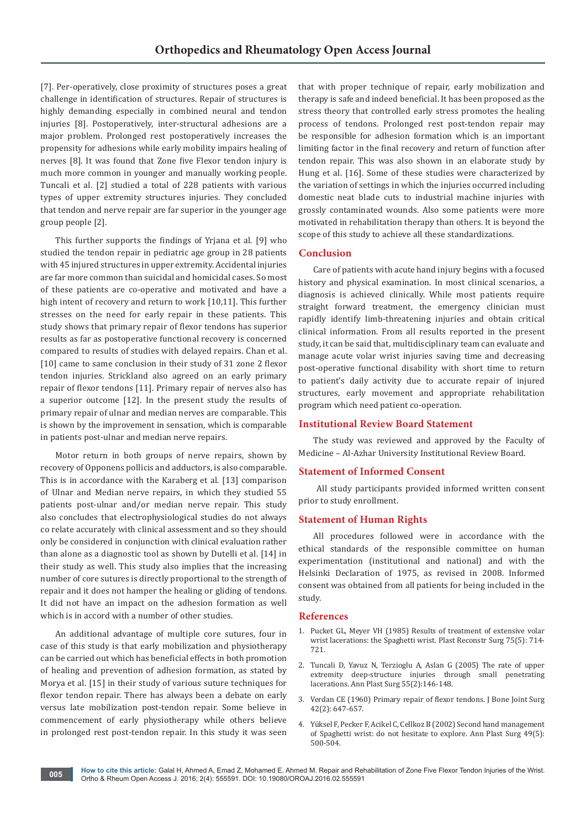[7]. Per-operatively, close proximity of structures poses a great challenge in identification of structures. Repair of structures is highly demanding especially in combined neural and tendon injuries [8]. Postoperatively, inter-structural adhesions are a major problem. Prolonged rest postoperatively increases the propensity for adhesions while early mobility impairs healing of nerves [8]. It was found that Zone five Flexor tendon injury is much more common in younger and manually working people. Tuncali et al. [2] studied a total of 228 patients with various types of upper extremity structures injuries. They concluded that tendon and nerve repair are far superior in the younger age group people [2].

This further supports the findings of Yrjana et al. [9] who studied the tendon repair in pediatric age group in 28 patients with 45 injured structures in upper extremity. Accidental injuries are far more common than suicidal and homicidal cases. So most of these patients are co-operative and motivated and have a high intent of recovery and return to work [10,11]. This further stresses on the need for early repair in these patients. This study shows that primary repair of flexor tendons has superior results as far as postoperative functional recovery is concerned compared to results of studies with delayed repairs. Chan et al. [10] came to same conclusion in their study of 31 zone 2 flexor tendon injuries. Strickland also agreed on an early primary repair of flexor tendons [11]. Primary repair of nerves also has a superior outcome [12]. In the present study the results of primary repair of ulnar and median nerves are comparable. This is shown by the improvement in sensation, which is comparable in patients post-ulnar and median nerve repairs.

Motor return in both groups of nerve repairs, shown by recovery of Opponens pollicis and adductors, is also comparable. This is in accordance with the Karaberg et al. [13] comparison of Ulnar and Median nerve repairs, in which they studied 55 patients post-ulnar and/or median nerve repair. This study also concludes that electrophysiological studies do not always co relate accurately with clinical assessment and so they should only be considered in conjunction with clinical evaluation rather than alone as a diagnostic tool as shown by Dutelli et al. [14] in their study as well. This study also implies that the increasing number of core sutures is directly proportional to the strength of repair and it does not hamper the healing or gliding of tendons. It did not have an impact on the adhesion formation as well which is in accord with a number of other studies.

An additional advantage of multiple core sutures, four in case of this study is that early mobilization and physiotherapy can be carried out which has beneficial effects in both promotion of healing and prevention of adhesion formation, as stated by Morya et al. [15] in their study of various suture techniques for flexor tendon repair. There has always been a debate on early versus late mobilization post-tendon repair. Some believe in commencement of early physiotherapy while others believe in prolonged rest post-tendon repair. In this study it was seen

that with proper technique of repair, early mobilization and therapy is safe and indeed beneficial. It has been proposed as the stress theory that controlled early stress promotes the healing process of tendons. Prolonged rest post-tendon repair may be responsible for adhesion formation which is an important limiting factor in the final recovery and return of function after tendon repair. This was also shown in an elaborate study by Hung et al. [16]. Some of these studies were characterized by the variation of settings in which the injuries occurred including domestic neat blade cuts to industrial machine injuries with grossly contaminated wounds. Also some patients were more motivated in rehabilitation therapy than others. It is beyond the scope of this study to achieve all these standardizations.

# **Conclusion**

Care of patients with acute hand injury begins with a focused history and physical examination. In most clinical scenarios, a diagnosis is achieved clinically. While most patients require straight forward treatment, the emergency clinician must rapidly identify limb-threatening injuries and obtain critical clinical information. From all results reported in the present study, it can be said that, multidisciplinary team can evaluate and manage acute volar wrist injuries saving time and decreasing post-operative functional disability with short time to return to patient's daily activity due to accurate repair of injured structures, early movement and appropriate rehabilitation program which need patient co-operation.

# **Institutional Review Board Statement**

The study was reviewed and approved by the Faculty of Medicine – Al-Azhar University Institutional Review Board.

#### **Statement of Informed Consent**

 All study participants provided informed written consent prior to study enrollment.

# **Statement of Human Rights**

All procedures followed were in accordance with the ethical standards of the responsible committee on human experimentation (institutional and national) and with the Helsinki Declaration of 1975, as revised in 2008. Informed consent was obtained from all patients for being included in the study.

#### **References**

- 1. [Pucket GL, Meyer VH \(1985\) Results of treatment of extensive volar](http://www.ncbi.nlm.nih.gov/pubmed/3983278)  [wrist lacerations: the Spaghetti wrist. Plast Reconstr Surg 75\(5\): 714-](http://www.ncbi.nlm.nih.gov/pubmed/3983278) [721.](http://www.ncbi.nlm.nih.gov/pubmed/3983278)
- 2. [Tuncali D, Yavuz N, Terzioglu A, Aslan G \(2005\) The rate of upper](http://www.ncbi.nlm.nih.gov/pubmed/16034243)  [extremity deep-structure injuries through small penetrating](http://www.ncbi.nlm.nih.gov/pubmed/16034243)  [lacerations. Ann Plast Surg 55\(2\):146-148.](http://www.ncbi.nlm.nih.gov/pubmed/16034243)
- 3. [Verdan CE \(1960\) Primary repair of flexor tendons. J Bone Joint Surg](http://jbjs.org/content/42/4/647)  [42\(2\): 647-657.](http://jbjs.org/content/42/4/647)
- 4. [Yüksel F, Pecker F, Acikel C, Cellkoz B \(2002\) Second hand management](http://www.ncbi.nlm.nih.gov/pubmed/12439018)  [of Spaghetti wrist: do not hesitate to explore. Ann Plast Surg 49\(5\):](http://www.ncbi.nlm.nih.gov/pubmed/12439018)  [500-504.](http://www.ncbi.nlm.nih.gov/pubmed/12439018)